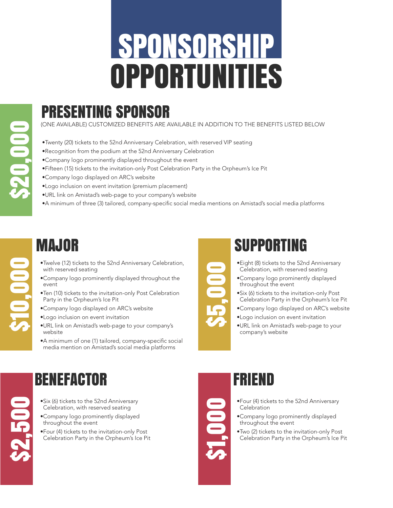# SPONSORSHIP OPPORTUNITIES

### PRESENTING SPONSOR

(ONE AVAILABLE) CUSTOMIZED BENEFITS ARE AVAILABLE IN ADDITION TO THE BENEFITS LISTED BELOW

- •Twenty (20) tickets to the 52nd Anniversary Celebration, with reserved VIP seating
- •Recognition from the podium at the 52nd Anniversary Celebration
- •Company logo prominently displayed throughout the event
- •Fifteen (15) tickets to the invitation-only Post Celebration Party in the Orpheum's Ice Pit
- •Company logo displayed on ARC's website
- •Logo inclusion on event invitation (premium placement)
- •URL link on Amistad's web-page to your company's website
- •A minimum of three (3) tailored, company-specific social media mentions on Amistad's social media platforms

### MAJOR

- •Twelve (12) tickets to the 52nd Anniversary Celebration, with reserved seating
- •Company logo prominently displayed throughout the event
- •Ten (10) tickets to the invitation-only Post Celebration Party in the Orpheum's Ice Pit
- •Company logo displayed on ARC's website
- •Logo inclusion on event invitation
- •URL link on Amistad's web-page to your company's website
- •A minimum of one (1) tailored, company-specific social media mention on Amistad's social media platforms

### SUPPORTING

- •Eight (8) tickets to the 52nd Anniversary Celebration, with reserved seating
- •Company logo prominently displayed throughout the event
- •Six (6) tickets to the invitation-only Post Celebration Party in the Orpheum's Ice Pit
- •Company logo displayed on ARC's website
- •Logo inclusion on event invitation
- •URL link on Amistad's web-page to your company's website

#### BENEFACTOR

- •Six (6) tickets to the 52nd Anniversary Celebration, with reserved seating
- •Company logo prominently displayed throughout the event
- •Four (4) tickets to the invitation-only Post Celebration Party in the Orpheum's Ice Pit



\$5,000

#### FRIEND

- •Four (4) tickets to the 52nd Anniversary **Celebration**
- •Company logo prominently displayed throughout the event
- •Two (2) tickets to the invitation-only Post Celebration Party in the Orpheum's Ice Pit

\$10,000

\$2,500